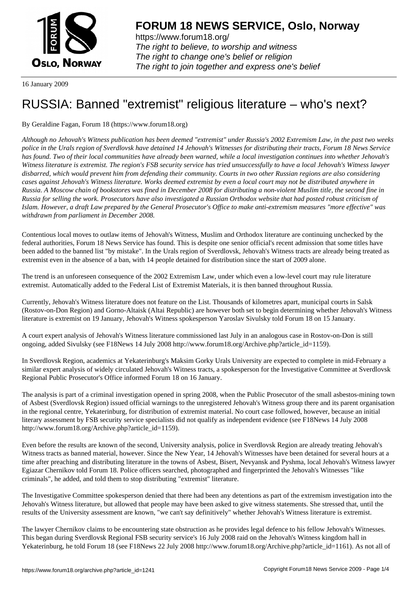

https://www.forum18.org/ The right to believe, to worship and witness The right to change one's belief or religion [The right to join together a](https://www.forum18.org/)nd express one's belief

16 January 2009

## [RUSSIA: Banne](https://www.forum18.org)d "extremist" religious literature – who's next?

By Geraldine Fagan, Forum 18 (https://www.forum18.org)

*Although no Jehovah's Witness publication has been deemed "extremist" under Russia's 2002 Extremism Law, in the past two weeks police in the Urals region of Sverdlovsk have detained 14 Jehovah's Witnesses for distributing their tracts, Forum 18 News Service has found. Two of their local communities have already been warned, while a local investigation continues into whether Jehovah's Witness literature is extremist. The region's FSB security service has tried unsuccessfully to have a local Jehovah's Witness lawyer disbarred, which would prevent him from defending their community. Courts in two other Russian regions are also considering cases against Jehovah's Witness literature. Works deemed extremist by even a local court may not be distributed anywhere in Russia. A Moscow chain of bookstores was fined in December 2008 for distributing a non-violent Muslim title, the second fine in Russia for selling the work. Prosecutors have also investigated a Russian Orthodox website that had posted robust criticism of Islam. However, a draft Law prepared by the General Prosecutor's Office to make anti-extremism measures "more effective" was withdrawn from parliament in December 2008.*

Contentious local moves to outlaw items of Jehovah's Witness, Muslim and Orthodox literature are continuing unchecked by the federal authorities, Forum 18 News Service has found. This is despite one senior official's recent admission that some titles have been added to the banned list "by mistake". In the Urals region of Sverdlovsk, Jehovah's Witness tracts are already being treated as extremist even in the absence of a ban, with 14 people detained for distribution since the start of 2009 alone.

The trend is an unforeseen consequence of the 2002 Extremism Law, under which even a low-level court may rule literature extremist. Automatically added to the Federal List of Extremist Materials, it is then banned throughout Russia.

Currently, Jehovah's Witness literature does not feature on the List. Thousands of kilometres apart, municipal courts in Salsk (Rostov-on-Don Region) and Gorno-Altaisk (Altai Republic) are however both set to begin determining whether Jehovah's Witness literature is extremist on 19 January, Jehovah's Witness spokesperson Yaroslav Sivulsky told Forum 18 on 15 January.

A court expert analysis of Jehovah's Witness literature commissioned last July in an analogous case in Rostov-on-Don is still ongoing, added Sivulsky (see F18News 14 July 2008 http://www.forum18.org/Archive.php?article\_id=1159).

In Sverdlovsk Region, academics at Yekaterinburg's Maksim Gorky Urals University are expected to complete in mid-February a similar expert analysis of widely circulated Jehovah's Witness tracts, a spokesperson for the Investigative Committee at Sverdlovsk Regional Public Prosecutor's Office informed Forum 18 on 16 January.

The analysis is part of a criminal investigation opened in spring 2008, when the Public Prosecutor of the small asbestos-mining town of Asbest (Sverdlovsk Region) issued official warnings to the unregistered Jehovah's Witness group there and its parent organisation in the regional centre, Yekaterinburg, for distribution of extremist material. No court case followed, however, because an initial literary assessment by FSB security service specialists did not qualify as independent evidence (see F18News 14 July 2008 http://www.forum18.org/Archive.php?article\_id=1159).

Even before the results are known of the second, University analysis, police in Sverdlovsk Region are already treating Jehovah's Witness tracts as banned material, however. Since the New Year, 14 Jehovah's Witnesses have been detained for several hours at a time after preaching and distributing literature in the towns of Asbest, Bisert, Nevyansk and Pyshma, local Jehovah's Witness lawyer Egiazar Chernikov told Forum 18. Police officers searched, photographed and fingerprinted the Jehovah's Witnesses "like criminals", he added, and told them to stop distributing "extremist" literature.

The Investigative Committee spokesperson denied that there had been any detentions as part of the extremism investigation into the Jehovah's Witness literature, but allowed that people may have been asked to give witness statements. She stressed that, until the results of the University assessment are known, "we can't say definitively" whether Jehovah's Witness literature is extremist.

The lawyer Chernikov claims to be encountering state obstruction as he provides legal defence to his fellow Jehovah's Witnesses. This began during Sverdlovsk Regional FSB security service's 16 July 2008 raid on the Jehovah's Witness kingdom hall in Yekaterinburg, he told Forum 18 (see F18News 22 July 2008 http://www.forum18.org/Archive.php?article\_id=1161). As not all of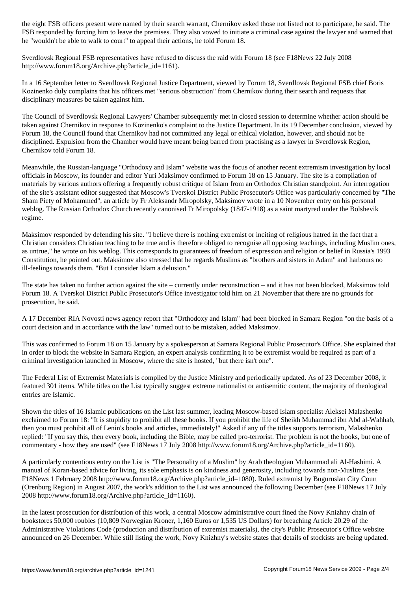FSB responded by forcing him to leave the premises. They also vowed to initiate a criminal case against the lawyer and warned that he "wouldn't be able to walk to court" to appeal their actions, he told Forum 18.

Sverdlovsk Regional FSB representatives have refused to discuss the raid with Forum 18 (see F18News 22 July 2008 http://www.forum18.org/Archive.php?article\_id=1161).

In a 16 September letter to Sverdlovsk Regional Justice Department, viewed by Forum 18, Sverdlovsk Regional FSB chief Boris Kozinenko duly complains that his officers met "serious obstruction" from Chernikov during their search and requests that disciplinary measures be taken against him.

The Council of Sverdlovsk Regional Lawyers' Chamber subsequently met in closed session to determine whether action should be taken against Chernikov in response to Kozinenko's complaint to the Justice Department. In its 19 December conclusion, viewed by Forum 18, the Council found that Chernikov had not committed any legal or ethical violation, however, and should not be disciplined. Expulsion from the Chamber would have meant being barred from practising as a lawyer in Sverdlovsk Region, Chernikov told Forum 18.

Meanwhile, the Russian-language "Orthodoxy and Islam" website was the focus of another recent extremism investigation by local officials in Moscow, its founder and editor Yuri Maksimov confirmed to Forum 18 on 15 January. The site is a compilation of materials by various authors offering a frequently robust critique of Islam from an Orthodox Christian standpoint. An interrogation of the site's assistant editor suggested that Moscow's Tverskoi District Public Prosecutor's Office was particularly concerned by "The Sham Piety of Mohammed", an article by Fr Aleksandr Miropolsky, Maksimov wrote in a 10 November entry on his personal weblog. The Russian Orthodox Church recently canonised Fr Miropolsky (1847-1918) as a saint martyred under the Bolshevik regime.

Maksimov responded by defending his site. "I believe there is nothing extremist or inciting of religious hatred in the fact that a Christian considers Christian teaching to be true and is therefore obliged to recognise all opposing teachings, including Muslim ones, as untrue," he wrote on his weblog. This corresponds to guarantees of freedom of expression and religion or belief in Russia's 1993 Constitution, he pointed out. Maksimov also stressed that he regards Muslims as "brothers and sisters in Adam" and harbours no ill-feelings towards them. "But I consider Islam a delusion."

The state has taken no further action against the site – currently under reconstruction – and it has not been blocked, Maksimov told Forum 18. A Tverskoi District Public Prosecutor's Office investigator told him on 21 November that there are no grounds for prosecution, he said.

A 17 December RIA Novosti news agency report that "Orthodoxy and Islam" had been blocked in Samara Region "on the basis of a court decision and in accordance with the law" turned out to be mistaken, added Maksimov.

This was confirmed to Forum 18 on 15 January by a spokesperson at Samara Regional Public Prosecutor's Office. She explained that in order to block the website in Samara Region, an expert analysis confirming it to be extremist would be required as part of a criminal investigation launched in Moscow, where the site is hosted, "but there isn't one".

The Federal List of Extremist Materials is compiled by the Justice Ministry and periodically updated. As of 23 December 2008, it featured 301 items. While titles on the List typically suggest extreme nationalist or antisemitic content, the majority of theological entries are Islamic.

Shown the titles of 16 Islamic publications on the List last summer, leading Moscow-based Islam specialist Aleksei Malashenko exclaimed to Forum 18: "It is stupidity to prohibit all these books. If you prohibit the life of Sheikh Muhammad ibn Abd al-Wahhab, then you must prohibit all of Lenin's books and articles, immediately!" Asked if any of the titles supports terrorism, Malashenko replied: "If you say this, then every book, including the Bible, may be called pro-terrorist. The problem is not the books, but one of commentary - how they are used" (see F18News 17 July 2008 http://www.forum18.org/Archive.php?article\_id=1160).

A particularly contentious entry on the List is "The Personality of a Muslim" by Arab theologian Muhammad ali Al-Hashimi. A manual of Koran-based advice for living, its sole emphasis is on kindness and generosity, including towards non-Muslims (see F18News 1 February 2008 http://www.forum18.org/Archive.php?article\_id=1080). Ruled extremist by Buguruslan City Court (Orenburg Region) in August 2007, the work's addition to the List was announced the following December (see F18News 17 July 2008 http://www.forum18.org/Archive.php?article\_id=1160).

In the latest prosecution for distribution of this work, a central Moscow administrative court fined the Novy Knizhny chain of bookstores 50,000 roubles (10,809 Norwegian Kroner, 1,160 Euros or 1,535 US Dollars) for breaching Article 20.29 of the Administrative Violations Code (production and distribution of extremist materials), the city's Public Prosecutor's Office website announced on 26 December. While still listing the work, Novy Knizhny's website states that details of stockists are being updated.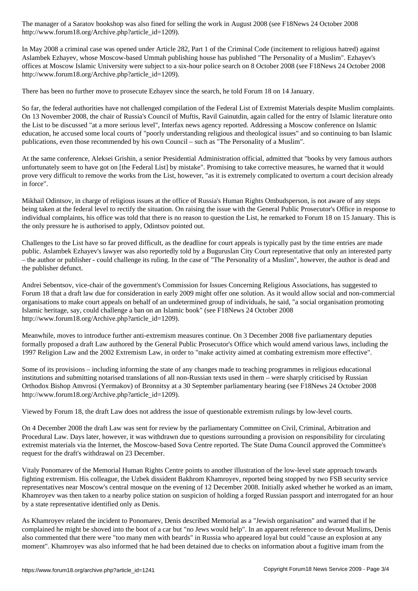http://www.forum18.org/Archive.php?article\_id=1209).

In May 2008 a criminal case was opened under Article 282, Part 1 of the Criminal Code (incitement to religious hatred) against Aslambek Ezhayev, whose Moscow-based Ummah publishing house has published "The Personality of a Muslim". Ezhayev's offices at Moscow Islamic University were subject to a six-hour police search on 8 October 2008 (see F18News 24 October 2008 http://www.forum18.org/Archive.php?article\_id=1209).

There has been no further move to prosecute Ezhayev since the search, he told Forum 18 on 14 January.

So far, the federal authorities have not challenged compilation of the Federal List of Extremist Materials despite Muslim complaints. On 13 November 2008, the chair of Russia's Council of Muftis, Ravil Gainutdin, again called for the entry of Islamic literature onto the List to be discussed "at a more serious level", Interfax news agency reported. Addressing a Moscow conference on Islamic education, he accused some local courts of "poorly understanding religious and theological issues" and so continuing to ban Islamic publications, even those recommended by his own Council – such as "The Personality of a Muslim".

At the same conference, Aleksei Grishin, a senior Presidential Administration official, admitted that "books by very famous authors unfortunately seem to have got on [the Federal List] by mistake". Promising to take corrective measures, he warned that it would prove very difficult to remove the works from the List, however, "as it is extremely complicated to overturn a court decision already in force".

Mikhail Odintsov, in charge of religious issues at the office of Russia's Human Rights Ombudsperson, is not aware of any steps being taken at the federal level to rectify the situation. On raising the issue with the General Public Prosecutor's Office in response to individual complaints, his office was told that there is no reason to question the List, he remarked to Forum 18 on 15 January. This is the only pressure he is authorised to apply, Odintsov pointed out.

Challenges to the List have so far proved difficult, as the deadline for court appeals is typically past by the time entries are made public. Aslambek Ezhayev's lawyer was also reportedly told by a Buguruslan City Court representative that only an interested party – the author or publisher - could challenge its ruling. In the case of "The Personality of a Muslim", however, the author is dead and the publisher defunct.

Andrei Sebentsov, vice-chair of the government's Commission for Issues Concerning Religious Associations, has suggested to Forum 18 that a draft law due for consideration in early 2009 might offer one solution. As it would allow social and non-commercial organisations to make court appeals on behalf of an undetermined group of individuals, he said, "a social organisation promoting Islamic heritage, say, could challenge a ban on an Islamic book" (see F18News 24 October 2008 http://www.forum18.org/Archive.php?article\_id=1209).

Meanwhile, moves to introduce further anti-extremism measures continue. On 3 December 2008 five parliamentary deputies formally proposed a draft Law authored by the General Public Prosecutor's Office which would amend various laws, including the 1997 Religion Law and the 2002 Extremism Law, in order to "make activity aimed at combating extremism more effective".

Some of its provisions – including informing the state of any changes made to teaching programmes in religious educational institutions and submitting notarised translations of all non-Russian texts used in them – were sharply criticised by Russian Orthodox Bishop Amvrosi (Yermakov) of Bronnitsy at a 30 September parliamentary hearing (see F18News 24 October 2008 http://www.forum18.org/Archive.php?article\_id=1209).

Viewed by Forum 18, the draft Law does not address the issue of questionable extremism rulings by low-level courts.

On 4 December 2008 the draft Law was sent for review by the parliamentary Committee on Civil, Criminal, Arbitration and Procedural Law. Days later, however, it was withdrawn due to questions surrounding a provision on responsibility for circulating extremist materials via the Internet, the Moscow-based Sova Centre reported. The State Duma Council approved the Committee's request for the draft's withdrawal on 23 December.

Vitaly Ponomarev of the Memorial Human Rights Centre points to another illustration of the low-level state approach towards fighting extremism. His colleague, the Uzbek dissident Bakhrom Khamroyev, reported being stopped by two FSB security service representatives near Moscow's central mosque on the evening of 12 December 2008. Initially asked whether he worked as an imam, Khamroyev was then taken to a nearby police station on suspicion of holding a forged Russian passport and interrogated for an hour by a state representative identified only as Denis.

As Khamroyev related the incident to Ponomarev, Denis described Memorial as a "Jewish organisation" and warned that if he complained he might be shoved into the boot of a car but "no Jews would help". In an apparent reference to devout Muslims, Denis also commented that there were "too many men with beards" in Russia who appeared loyal but could "cause an explosion at any moment". Khamroyev was also informed that he had been detained due to checks on information about a fugitive imam from the